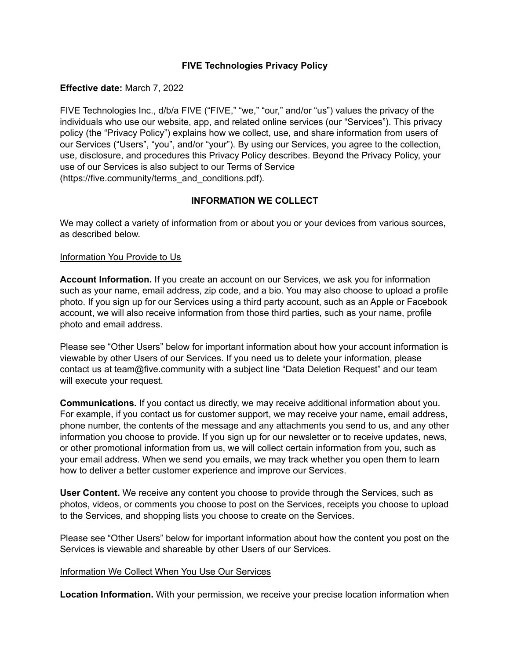# **FIVE Technologies Privacy Policy**

#### **Effective date:** March 7, 2022

FIVE Technologies Inc., d/b/a FIVE ("FIVE," "we," "our," and/or "us") values the privacy of the individuals who use our website, app, and related online services (our "Services"). This privacy policy (the "Privacy Policy") explains how we collect, use, and share information from users of our Services ("Users", "you", and/or "your"). By using our Services, you agree to the collection, use, disclosure, and procedures this Privacy Policy describes. Beyond the Privacy Policy, your use of our Services is also subject to our Terms of Service (https://five.community/terms\_and\_conditions.pdf).

## **INFORMATION WE COLLECT**

We may collect a variety of information from or about you or your devices from various sources, as described below.

#### Information You Provide to Us

**Account Information.** If you create an account on our Services, we ask you for information such as your name, email address, zip code, and a bio. You may also choose to upload a profile photo. If you sign up for our Services using a third party account, such as an Apple or Facebook account, we will also receive information from those third parties, such as your name, profile photo and email address.

Please see "Other Users" below for important information about how your account information is viewable by other Users of our Services. If you need us to delete your information, please contact us at team@five.community with a subject line "Data Deletion Request" and our team will execute your request.

**Communications.** If you contact us directly, we may receive additional information about you. For example, if you contact us for customer support, we may receive your name, email address, phone number, the contents of the message and any attachments you send to us, and any other information you choose to provide. If you sign up for our newsletter or to receive updates, news, or other promotional information from us, we will collect certain information from you, such as your email address. When we send you emails, we may track whether you open them to learn how to deliver a better customer experience and improve our Services.

**User Content.** We receive any content you choose to provide through the Services, such as photos, videos, or comments you choose to post on the Services, receipts you choose to upload to the Services, and shopping lists you choose to create on the Services.

Please see "Other Users" below for important information about how the content you post on the Services is viewable and shareable by other Users of our Services.

#### Information We Collect When You Use Our Services

**Location Information.** With your permission, we receive your precise location information when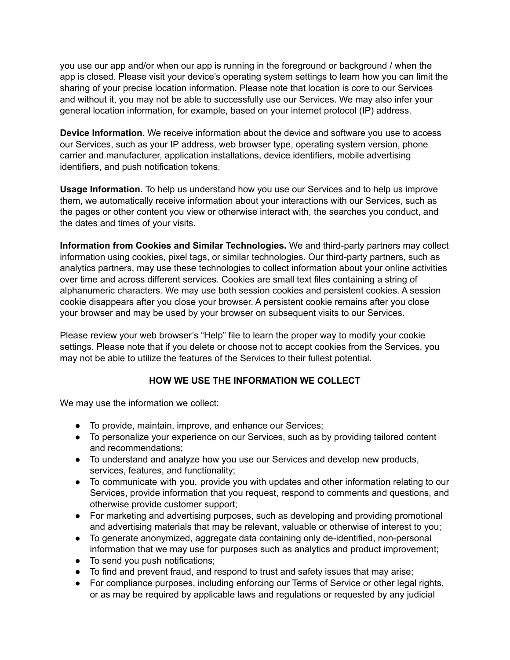you use our app and/or when our app is running in the foreground or background / when the app is closed. Please visit your device's operating system settings to learn how you can limit the sharing of your precise location information. Please note that location is core to our Services and without it, you may not be able to successfully use our Services. We may also infer your general location information, for example, based on your internet protocol (IP) address.

**Device Information.** We receive information about the device and software you use to access our Services, such as your IP address, web browser type, operating system version, phone carrier and manufacturer, application installations, device identifiers, mobile advertising identifiers, and push notification tokens.

**Usage Information.** To help us understand how you use our Services and to help us improve them, we automatically receive information about your interactions with our Services, such as the pages or other content you view or otherwise interact with, the searches you conduct, and the dates and times of your visits.

**Information from Cookies and Similar Technologies.** We and third-party partners may collect information using cookies, pixel tags, or similar technologies. Our third-party partners, such as analytics partners, may use these technologies to collect information about your online activities over time and across different services. Cookies are small text files containing a string of alphanumeric characters. We may use both session cookies and persistent cookies. A session cookie disappears after you close your browser. A persistent cookie remains after you close your browser and may be used by your browser on subsequent visits to our Services.

Please review your web browser's "Help" file to learn the proper way to modify your cookie settings. Please note that if you delete or choose not to accept cookies from the Services, you may not be able to utilize the features of the Services to their fullest potential.

# **HOW WE USE THE INFORMATION WE COLLECT**

We may use the information we collect:

- To provide, maintain, improve, and enhance our Services;
- To personalize your experience on our Services, such as by providing tailored content and recommendations;
- To understand and analyze how you use our Services and develop new products, services, features, and functionality;
- To communicate with you, provide you with updates and other information relating to our Services, provide information that you request, respond to comments and questions, and otherwise provide customer support;
- For marketing and advertising purposes, such as developing and providing promotional and advertising materials that may be relevant, valuable or otherwise of interest to you;
- To generate anonymized, aggregate data containing only de-identified, non-personal information that we may use for purposes such as analytics and product improvement;
- To send you push notifications;
- To find and prevent fraud, and respond to trust and safety issues that may arise;
- For compliance purposes, including enforcing our Terms of Service or other legal rights, or as may be required by applicable laws and regulations or requested by any judicial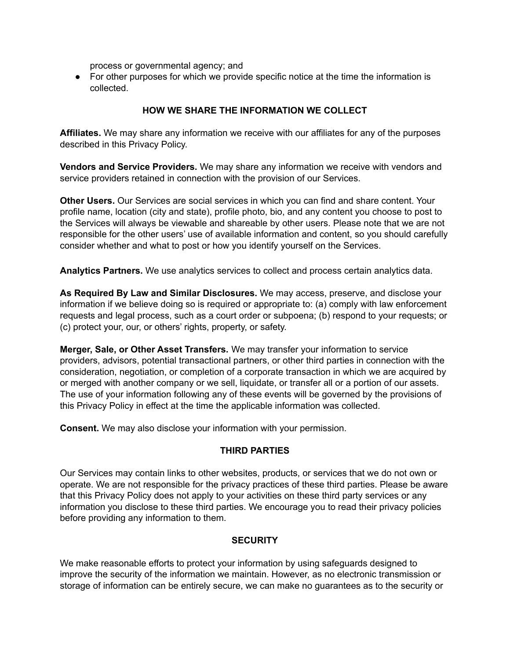process or governmental agency; and

• For other purposes for which we provide specific notice at the time the information is collected.

# **HOW WE SHARE THE INFORMATION WE COLLECT**

**Affiliates.** We may share any information we receive with our affiliates for any of the purposes described in this Privacy Policy.

**Vendors and Service Providers.** We may share any information we receive with vendors and service providers retained in connection with the provision of our Services.

**Other Users.** Our Services are social services in which you can find and share content. Your profile name, location (city and state), profile photo, bio, and any content you choose to post to the Services will always be viewable and shareable by other users. Please note that we are not responsible for the other users' use of available information and content, so you should carefully consider whether and what to post or how you identify yourself on the Services.

**Analytics Partners.** We use analytics services to collect and process certain analytics data.

**As Required By Law and Similar Disclosures.** We may access, preserve, and disclose your information if we believe doing so is required or appropriate to: (a) comply with law enforcement requests and legal process, such as a court order or subpoena; (b) respond to your requests; or (c) protect your, our, or others' rights, property, or safety.

**Merger, Sale, or Other Asset Transfers.** We may transfer your information to service providers, advisors, potential transactional partners, or other third parties in connection with the consideration, negotiation, or completion of a corporate transaction in which we are acquired by or merged with another company or we sell, liquidate, or transfer all or a portion of our assets. The use of your information following any of these events will be governed by the provisions of this Privacy Policy in effect at the time the applicable information was collected.

**Consent.** We may also disclose your information with your permission.

## **THIRD PARTIES**

Our Services may contain links to other websites, products, or services that we do not own or operate. We are not responsible for the privacy practices of these third parties. Please be aware that this Privacy Policy does not apply to your activities on these third party services or any information you disclose to these third parties. We encourage you to read their privacy policies before providing any information to them.

#### **SECURITY**

We make reasonable efforts to protect your information by using safeguards designed to improve the security of the information we maintain. However, as no electronic transmission or storage of information can be entirely secure, we can make no guarantees as to the security or